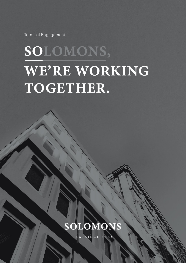Terms of Engagement

# SOLOMONS, WE'RE WORKING TOGETHER.



LAW, SINCE 1884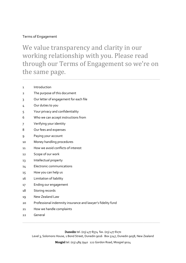# Terms of Engagement

We value transparency and clarity in our working relationship with you. Please read through our Terms of Engagement so we're on the same page.

 $\mathcal{L}_\text{max}$  and  $\mathcal{L}_\text{max}$  and  $\mathcal{L}_\text{max}$  and  $\mathcal{L}_\text{max}$  and  $\mathcal{L}_\text{max}$  and  $\mathcal{L}_\text{max}$ 

- 1 Introduction
- 2 The purpose of this document
- 3 Our letter of engagement for each file
- 4 Our duties to you
- 5 Your privacy and confidentiality
- 6 Who we can accept instructions from
- 7 Verifying your identity
- 8 Our fees and expenses
- 9 Paying your account
- 10 Money handling procedures
- 11 How we avoid conflicts of interest
- 12 Scope of our work
- 13 Intellectual property
- 14 Electronic communications
- 15 How you can help us
- 16 Limitation of liability
- 17 Ending our engagement
- 18 Storing records
- 19 New Zealand Law
- 20 Professional indemnity insurance and lawyer's fidelity fund
- 21 How we handle complaints
- 22 General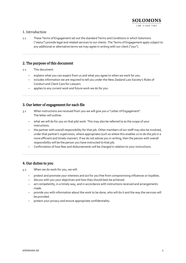# 1. Introduction

1.1 These Terms of Engagement set out the standard Terms and Conditions in which Solomons ("we/us") provide legal and related services to our clients. The Terms of Engagement apply subject to any additional or alternative terms we may agree in writing with our client ("you").

 $\mathcal{L}_\text{max}$  and  $\mathcal{L}_\text{max}$  and  $\mathcal{L}_\text{max}$  and  $\mathcal{L}_\text{max}$  and  $\mathcal{L}_\text{max}$  and  $\mathcal{L}_\text{max}$ 

# 2. The purpose of this document

2.1 This document:

- $\sim$  explains what you can expect from us and what you agree to when we work for you.
- $\sim$  includes information we are required to tell you under the New Zealand Law Society's Rules of Conduct and Client Care for Lawyers.

 $\mathcal{L}_\text{max}$  and  $\mathcal{L}_\text{max}$  and  $\mathcal{L}_\text{max}$  and  $\mathcal{L}_\text{max}$  and  $\mathcal{L}_\text{max}$  and  $\mathcal{L}_\text{max}$ 

 $\sim$  applies to any current work and future work we do for you.

# 3. Our letter of engagement for each file

- 3.1 When instructions are received from you we will give you a "Letter of Engagement". The letter will outline:
	- $\sim$  what we will do for you on that job/ work. This may also be referred to as the scope of your instructions.
	- $\sim$  the partner with overall responsibility for that job. Other members of our staff may also be involved, under that partner's supervision, where appropriate (such as where this enables us to do the job in a more efficient and timely manner). If we do not advise you in writing, then the person with overall responsibility will be the person you have instructed to that job.
	- Confirmation of how fees and disbursements will be charged in relation to your instructions.

\_\_\_\_\_\_\_\_\_\_\_\_\_\_\_\_\_\_\_\_\_\_\_\_\_\_\_\_\_\_\_\_\_\_\_\_\_\_\_\_\_\_\_\_\_\_\_\_\_\_\_\_\_\_\_\_\_\_\_\_\_\_\_\_\_\_\_\_\_\_\_\_\_\_\_

# 4. Our duties to you

- 4.1 When we do work for you, we will:
	- $\sim$  protect and promote your interests and act for you free from compromising influences or loyalties.
	- $\sim$  discuss with you your objectives and how they should best be achieved.
	- $\sim$  act competently, in a timely way, and in accordance with instructions received and arrangements made.
	- $\sim$  provide you with information about the work to be done, who will do it and the way the services will be provided.
	- $\sim$  protect your privacy and ensure appropriate confidentiality.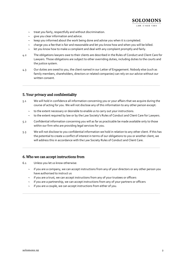

- $\sim$  give you clear information and advice.
- keep you informed about the work being done and advise you when it is completed.
- charge you a fee that is fair and reasonable and let you know how and when you will be billed.

- let you know how to make a complaint and deal with any complaint promptly and fairly.
- 4.2 The obligations lawyers owe to their clients are described in the Rules of Conduct and Client Care for Lawyers. Those obligations are subject to other overriding duties, including duties to the courts and the justice system.
- 4.3 Our duties are owed to you, the client named in our Letter of Engagement. Nobody else (such as family members, shareholders, directors or related companies) can rely on our advice without our written consent.

 $\mathcal{L}_\text{max}$  and  $\mathcal{L}_\text{max}$  and  $\mathcal{L}_\text{max}$  and  $\mathcal{L}_\text{max}$  and  $\mathcal{L}_\text{max}$  and  $\mathcal{L}_\text{max}$ 

# 5. Your privacy and confidentiality

- 5.1 We will hold in confidence all information concerning you or your affairs that we acquire during the course of acting for you. We will not disclose any of this information to any other person except:
	- $\sim$  to the extent necessary or desirable to enable us to carry out your instructions.
	- to the extent required by law or by the Law Society's Rules of Conduct and Client Care for Lawyers.
- 5.2 Confidential information concerning you will as far as practicable be made available only to those within our firm who are providing legal services for you.
- 5.3 We will not disclose to you confidential information we hold in relation to any other client. If this has the potential to create a conflict of interest in terms of our obligations to you or another client, we will address this in accordance with the Law Society Rules of Conduct and Client Care.

\_\_\_\_\_\_\_\_\_\_\_\_\_\_\_\_\_\_\_\_\_\_\_\_\_\_\_\_\_\_\_\_\_\_\_\_\_\_\_\_\_\_\_\_\_\_\_\_\_\_\_\_\_\_\_\_\_\_\_\_\_\_\_\_\_\_\_\_\_\_\_\_\_\_\_

# 6. Who we can accept instructions from

- 6.1 Unless you let us know otherwise:
	- $\sim$  if you are a company, we can accept instructions from any of your directors or any other person you have authorised to instruct us
	- $\sim$  if you are a trust, we can accept instructions from any of your trustees or officers
	- $\sim$  if you are a partnership, we can accept instructions from any of your partners or officers

\_\_\_\_\_\_\_\_\_\_\_\_\_\_\_\_\_\_\_\_\_\_\_\_\_\_\_\_\_\_\_\_\_\_\_\_\_\_\_\_\_\_\_\_\_\_\_\_\_\_\_\_\_\_\_\_\_\_\_\_\_\_\_\_\_\_\_\_\_\_\_\_\_\_\_

 $\sim$  if you are a couple, we can accept instructions from either of you.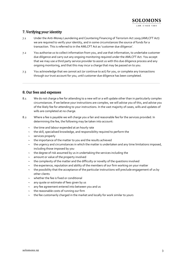# 7. Verifying your identity

- 7.1 Under the Anti-Money Laundering and Countering Financing of Terrorism Act 2009 (AMLCFT Act) we are required to verify your identity, and in some circumstances the source of funds for a transaction. This is referred to in the AMLCFT Act as 'customer due diligence'.
- 7.2 You authorise us to collect information from you, and use that information, to undertake customer due diligence and carry out any ongoing monitoring required under the AMLCFT Act. You accept that we may use a third party service provider to assist us with this due diligence process and any ongoing monitoring, and that this may incur a charge that may be passed on to you.
- 7.3 You acknowledge that we cannot act (or continue to act) for you, or complete any transactions through our trust account for you, until customer due diligence has been completed.

 $\mathcal{L}_\text{max}$  and  $\mathcal{L}_\text{max}$  and  $\mathcal{L}_\text{max}$  and  $\mathcal{L}_\text{max}$  and  $\mathcal{L}_\text{max}$  and  $\mathcal{L}_\text{max}$ 

# 8. Our fees and expenses

- 8.1 We do not charge a fee for attending to a new will or a will update other than in particularly complex circumstances. If we believe your instructions are complex, we will advise you of this, and advise you of the likely fee for attending to your instructions. In the vast majority of cases, wills and updates of wills are completed at no charge.
- 8.2 Where a fee is payable we will charge you a fair and reasonable fee for the services provided. In determining the fee, the following may be taken into account:
	- $\sim$  the time and labour expended at an hourly rate
	- $\sim$  the skill, specialised knowledge, and responsibility required to perform the
	- $\sim$  services properly
	- the importance of the matter to you and the results achieved
	- $\sim$  the urgency and circumstances in which the matter is undertaken and any time limitations imposed, including those imposed by you
	- $\sim$  the degree of risk assumed by us in undertaking the services including the
	- $\sim$  amount or value of the property involved
	- the complexity of the matter and the difficulty or novelty of the questions involved
	- $\sim$  the experience, reputation and ability of the members of our firm working on your matter
	- $\sim$  the possibility that the acceptance of the particular instructions will preclude engagement of us by other clients
	- $\sim$  whether the fee is fixed or conditional
	- any quote or estimate of fees given by us
	- $\sim$  any fee agreement entered into between you and us
	- $\sim$  the reasonable costs of running our firm
	- the fee customarily charged in the market and locally for work similar to yours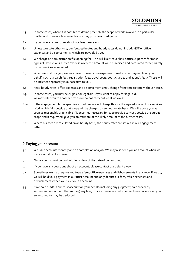# **SOLOMONS**

LAW, SINCE 1884

- 8.3 In some cases, where it is possible to define precisely the scope of work involved in a particular matter and there are few variables, we may provide a fixed quote.
- 8.4 If you have any questions about our fees please ask.
- 8.5 Unless we state otherwise, our fees, estimates and hourly rates do not include GST or office expenses and disbursements, which are payable by you.
- 8.6 We charge an administration/file opening fee. This will likely cover basic office expenses for most types of instructions. Office expenses over this amount will be invoiced and accounted for separately on our invoices as required.
- 8.7 When we work for you, we may have to cover some expenses or make other payments on your behalf (such as search fees, registration fees, travel costs, court charges and agent's fees). These will be included separately in our account to you.
- 8.8 Fees, hourly rates, office expenses and disbursements may change from time to time without notice.
- 8.9 In some cases, you may be eligible for legal aid. If you want to apply for legal aid, we may refer you to another firm as we do not carry out legal aid work.
- 8.10 If the engagement letter specifies a fixed fee, we will charge this for the agreed scope of our services. Work which falls outside that scope will be charged on an hourly rate basis. We will advise you as soon as reasonably practicable if it becomes necessary for us to provide services outside the agreed scope and if requested, give you an estimate of the likely amount of the further costs.
- 8.11 Where our fees are calculated on an hourly basis, the hourly rates are set out in our engagement letter.

\_\_\_\_\_\_\_\_\_\_\_\_\_\_\_\_\_\_\_\_\_\_\_\_\_\_\_\_\_\_\_\_\_\_\_\_\_\_\_\_\_\_\_\_\_\_\_\_\_\_\_\_\_\_\_\_\_\_\_\_\_\_\_\_\_\_\_\_\_\_\_\_\_\_\_

# 9. Paying your account

- 9.1 We issue accounts monthly and on completion of a job. We may also send you an account when we incur a significant expense.
- 9.2 Our accounts must be paid within 14 days of the date of our account.
- 9.3 If you have any questions about an account, please contact us straight away.
- 9.4 Sometimes we may require you to pay fees, office expenses and disbursements in advance. If we do, we will hold your payment in our trust account and only deduct our fees, office expenses and disbursements when we issue you an account.
- 9.5 If we hold funds in our trust account on your behalf (including any judgment, sale proceeds, settlement amount or other money) any fees, office expenses or disbursements we have issued you an account for may be deducted.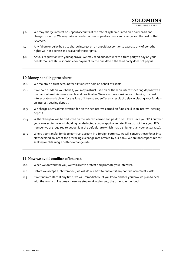# **SOLOMONS**

#### LAW, SINCE 1884

- 9.6 We may charge interest on unpaid accounts at the rate of 15% calculated on a daily basis and charged monthly. We may take action to recover unpaid accounts and charge you the cost of that recovery.
- 9.7 Any failure or delay by us to charge interest on an unpaid account or to exercise any of our other rights will not operate as a waiver of those rights.
- 9.8 At your request or with your approval, we may send our accounts to a third party to pay on your behalf. You are still responsible for payment by the due date if the third party does not pay us.

 $\mathcal{L}_\text{max}$  and  $\mathcal{L}_\text{max}$  and  $\mathcal{L}_\text{max}$  and  $\mathcal{L}_\text{max}$  and  $\mathcal{L}_\text{max}$  and  $\mathcal{L}_\text{max}$ 

#### 10. Money handling procedures

- 10.1 We maintain a trust account for all funds we hold on behalf of clients.
- 10.2 If we hold funds on your behalf, you may instruct us to place them on interest-bearing deposit with our bank where this is reasonable and practicable. We are not responsible for obtaining the best interest rate available or for any loss of interest you suffer as a result of delay in placing your funds in an interest-bearing deposit.
- 10.3 We charge a 10% administration fee on the net interest earned on funds held in an interest-bearing deposit.
- 10.4 Withholding tax will be deducted on the interest earned and paid to IRD. If we have your IRD number you can elect to have withholding tax deducted at your applicable rate. If we do not have your IRD number we are required to deduct it at the default rate (which may be higher than your actual rate).
- 10.5 Where you transfer funds to our trust account in a foreign currency, we will convert those funds into New Zealand dollars at the prevailing exchange rate offered by our bank. We are not responsible for seeking or obtaining a better exchange rate.

\_\_\_\_\_\_\_\_\_\_\_\_\_\_\_\_\_\_\_\_\_\_\_\_\_\_\_\_\_\_\_\_\_\_\_\_\_\_\_\_\_\_\_\_\_\_\_\_\_\_\_\_\_\_\_\_\_\_\_\_\_\_\_\_\_\_\_\_\_\_\_\_\_\_\_

# 11. How we avoid conflicts of interest

- 11.1 When we do work for you, we will always protect and promote your interests.
- 11.2 Before we accept a job from you, we will do our best to find out if any conflict of interest exists.
- 11.3 If we find a conflict at any time, we will immediately let you know and tell you how we plan to deal with the conflict. That may mean we stop working for you, the other client or both.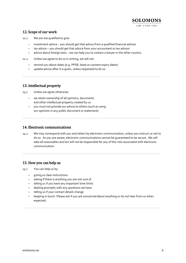

# 12. Scope of our work

- 12.1 We are not qualified to give:
	- $\sim$  investment advice you should get that advice from a qualified financial advisor
	- $\sim$  tax advice you should get that advice from your accountant or tax advisor
	- $\sim$  advice about foreign laws we can help you to contact a lawyer in the other country.

 $\mathcal{L}_\text{max}$  and  $\mathcal{L}_\text{max}$  and  $\mathcal{L}_\text{max}$  and  $\mathcal{L}_\text{max}$  and  $\mathcal{L}_\text{max}$  and  $\mathcal{L}_\text{max}$ 

- 12.2 Unless we agree to do so in writing, we will not:
	- $\sim$  remind you about dates (e.g. PPSR, lease or consent expiry dates)
	- $\sim$  update advice after it is given, unless requested to do so

## 13. Intellectual property

13.1 Unless we agree otherwise:

- $\sim$  we retain ownership of all opinions, documents and other intellectual property created by us
- $\sim$  you must not provide our advice to others (such as using our opinions in any public document or statement)

#### 14. Electronic communications

14.1 We may correspond with you and others by electronic communication, unless you instruct us not to do so. As you are aware, electronic communications cannot be guaranteed to be secure. We will take all reasonable care but will not be responsible for any of the risks associated with electronic communication.

\_\_\_\_\_\_\_\_\_\_\_\_\_\_\_\_\_\_\_\_\_\_\_\_\_\_\_\_\_\_\_\_\_\_\_\_\_\_\_\_\_\_\_\_\_\_\_\_\_\_\_\_\_\_\_\_\_\_\_\_\_\_\_\_\_\_\_\_\_\_\_\_\_\_\_

 $\mathcal{L}_\text{max}$  and  $\mathcal{L}_\text{max}$  and  $\mathcal{L}_\text{max}$  and  $\mathcal{L}_\text{max}$  and  $\mathcal{L}_\text{max}$  and  $\mathcal{L}_\text{max}$ 

# 15. How you can help us

- 15.1 You can help us by:
	- $\sim$  giving us clear instructions
	- $\sim$  asking if there is anything you are not sure of
	- $\sim$  telling us if you have any important time limits
	- $\sim$  dealing promptly with any questions we have
	- $\sim$  telling us if your contact details change
	- keeping in touch. Please ask if you are concerned about anything or do not hear from us when expected.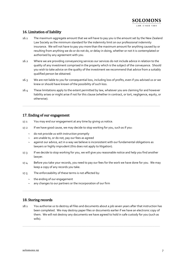# 16. Limitation of liability

- 16.1 The maximum aggregate amount that we will have to pay you is the amount set by the New Zealand Law Society as the minimum standard for the indemnity limit on our professional indemnity insurance. We will not have to pay you more than the maximum amount for anything caused by or resulting from anything we do or do not do, or delay in doing, whether or not it is contemplated or authorised by any agreement with you.
- 16.2 Where we are providing conveyancing services our services do not include advice in relation to the quality of any investment comprised in the property which is the subject of the conveyance. Should you wish to take advice on the quality of the investment we recommend that advice from a suitably qualified person be obtained.
- 16.3 We are not liable to you for consequential loss, including loss of profits, even if you advised us or we knew or should have known of the possibility of such loss.
- 16.4 These limitations apply to the extent permitted by law, whatever you are claiming for and however liability arises or might arise if not for this clause (whether in contract, or tort, negligence, equity, or otherwise).

 $\mathcal{L}_\text{max}$  and  $\mathcal{L}_\text{max}$  and  $\mathcal{L}_\text{max}$  and  $\mathcal{L}_\text{max}$  and  $\mathcal{L}_\text{max}$  and  $\mathcal{L}_\text{max}$ 

# 17. Ending of our engagement

- 17.1 You may end our engagement at any time by giving us notice.
- 17.2 If we have good cause, we may decide to stop working for you, such as if you:
	- $\sim$  do not provide us with instruction promptly
	- $\sim$  are unable to, or do not, pay our fees as agreed
	- against our advice, act in a way we believe is inconsistent with our fundamental obligations as lawyers or highly imprudent (this does not apply to litigation).
- 17.3 If we decide to stop working for you, we will give you reasonable notice and help you find another lawyer.
- 17.4 Before you take your records, you need to pay our fees for the work we have done for you. We may keep a copy of any records you take.

\_\_\_\_\_\_\_\_\_\_\_\_\_\_\_\_\_\_\_\_\_\_\_\_\_\_\_\_\_\_\_\_\_\_\_\_\_\_\_\_\_\_\_\_\_\_\_\_\_\_\_\_\_\_\_\_\_\_\_\_\_\_\_\_\_\_\_\_\_\_\_\_\_\_\_

- 17.5 The enforceability of these terms is not affected by:
	- $\sim$  the ending of our engagement
	- $\sim$  any changes to our partners or the incorporation of our firm

# 18. Storing records

18.1 You authorise us to destroy all files and documents about a job seven years after that instruction has been completed. We may destroy paper files or documents earlier if we have an electronic copy of them. We will not destroy any documents we have agreed to hold in safe custody for you (such as wills).